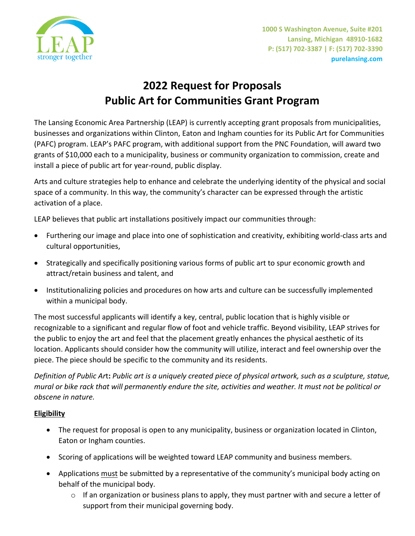

# **2022 Request for Proposals Public Art for Communities Grant Program**

The Lansing Economic Area Partnership (LEAP) is currently accepting grant proposals from municipalities, businesses and organizations within Clinton, Eaton and Ingham counties for its Public Art for Communities (PAFC) program. LEAP's PAFC program, with additional support from the PNC Foundation, will award two grants of \$10,000 each to a municipality, business or community organization to commission, create and install a piece of public art for year-round, public display.

Arts and culture strategies help to enhance and celebrate the underlying identity of the physical and social space of a community. In this way, the community's character can be expressed through the artistic activation of a place.

LEAP believes that public art installations positively impact our communities through:

- Furthering our image and place into one of sophistication and creativity, exhibiting world-class arts and cultural opportunities,
- Strategically and specifically positioning various forms of public art to spur economic growth and attract/retain business and talent, and
- Institutionalizing policies and procedures on how arts and culture can be successfully implemented within a municipal body.

The most successful applicants will identify a key, central, public location that is highly visible or recognizable to a significant and regular flow of foot and vehicle traffic. Beyond visibility, LEAP strives for the public to enjoy the art and feel that the placement greatly enhances the physical aesthetic of its location. Applicants should consider how the community will utilize, interact and feel ownership over the piece. The piece should be specific to the community and its residents.

*Definition of Public Ar*t**:** *Public art is a uniquely created piece of physical artwork, such as a sculpture, statue, mural or bike rack that will permanently endure the site, activities and weather. It must not be political or obscene in nature.* 

# **Eligibility**

- The request for proposal is open to any municipality, business or organization located in Clinton, Eaton or Ingham counties.
- Scoring of applications will be weighted toward LEAP community and business members.
- Applications must be submitted by a representative of the community's municipal body acting on behalf of the municipal body.
	- $\circ$  If an organization or business plans to apply, they must partner with and secure a letter of support from their municipal governing body.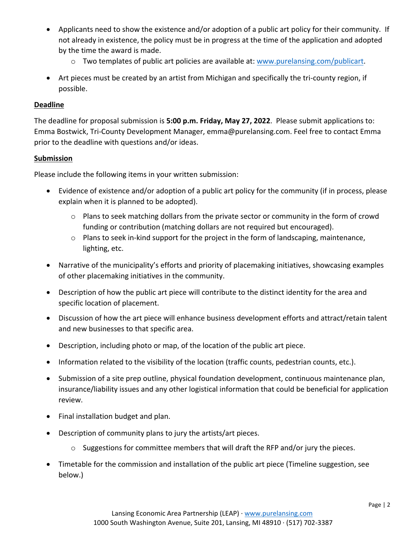- Applicants need to show the existence and/or adoption of a public art policy for their community. If not already in existence, the policy must be in progress at the time of the application and adopted by the time the award is made.
	- o Two templates of public art policies are available at: [www.purelansing.com/publicart.](http://www.purelansing.com/publicart)
- Art pieces must be created by an artist from Michigan and specifically the tri-county region, if possible.

#### **Deadline**

The deadline for proposal submission is **5:00 p.m. Friday, May 27, 2022**. Please submit applications to: Emma Bostwick, Tri-County Development Manager, emma@purelansing.com. Feel free to contact Emma prior to the deadline with questions and/or ideas.

## **Submission**

Please include the following items in your written submission:

- Evidence of existence and/or adoption of a public art policy for the community (if in process, please explain when it is planned to be adopted).
	- $\circ$  Plans to seek matching dollars from the private sector or community in the form of crowd funding or contribution (matching dollars are not required but encouraged).
	- o Plans to seek in-kind support for the project in the form of landscaping, maintenance, lighting, etc.
- Narrative of the municipality's efforts and priority of placemaking initiatives, showcasing examples of other placemaking initiatives in the community.
- Description of how the public art piece will contribute to the distinct identity for the area and specific location of placement.
- Discussion of how the art piece will enhance business development efforts and attract/retain talent and new businesses to that specific area.
- Description, including photo or map, of the location of the public art piece.
- Information related to the visibility of the location (traffic counts, pedestrian counts, etc.).
- Submission of a site prep outline, physical foundation development, continuous maintenance plan, insurance/liability issues and any other logistical information that could be beneficial for application review.
- Final installation budget and plan.
- Description of community plans to jury the artists/art pieces.
	- o Suggestions for committee members that will draft the RFP and/or jury the pieces.
- Timetable for the commission and installation of the public art piece (Timeline suggestion, see below.)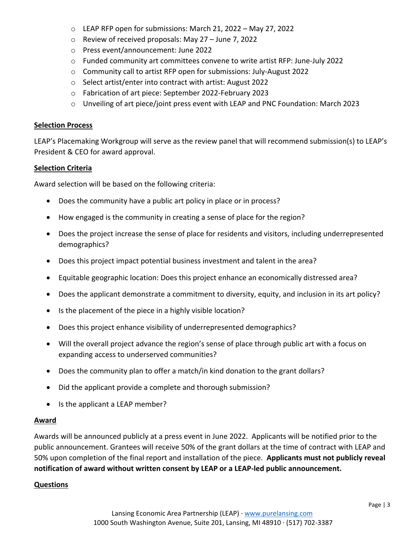- o LEAP RFP open for submissions: March 21, 2022 May 27, 2022
- o Review of received proposals: May 27 June 7, 2022
- o Press event/announcement: June 2022
- o Funded community art committees convene to write artist RFP: June-July 2022
- o Community call to artist RFP open for submissions: July-August 2022
- o Select artist/enter into contract with artist: August 2022
- o Fabrication of art piece: September 2022-February 2023
- $\circ$  Unveiling of art piece/joint press event with LEAP and PNC Foundation: March 2023

#### **Selection Process**

LEAP's Placemaking Workgroup will serve as the review panel that will recommend submission(s) to LEAP's President & CEO for award approval.

## **Selection Criteria**

Award selection will be based on the following criteria:

- Does the community have a public art policy in place or in process?
- How engaged is the community in creating a sense of place for the region?
- Does the project increase the sense of place for residents and visitors, including underrepresented demographics?
- Does this project impact potential business investment and talent in the area?
- Equitable geographic location: Does this project enhance an economically distressed area?
- Does the applicant demonstrate a commitment to diversity, equity, and inclusion in its art policy?
- Is the placement of the piece in a highly visible location?
- Does this project enhance visibility of underrepresented demographics?
- Will the overall project advance the region's sense of place through public art with a focus on expanding access to underserved communities?
- Does the community plan to offer a match/in kind donation to the grant dollars?
- Did the applicant provide a complete and thorough submission?
- Is the applicant a LEAP member?

# **Award**

Awards will be announced publicly at a press event in June 2022. Applicants will be notified prior to the public announcement. Grantees will receive 50% of the grant dollars at the time of contract with LEAP and 50% upon completion of the final report and installation of the piece. **Applicants must not publicly reveal notification of award without written consent by LEAP or a LEAP-led public announcement.**

# **Questions**